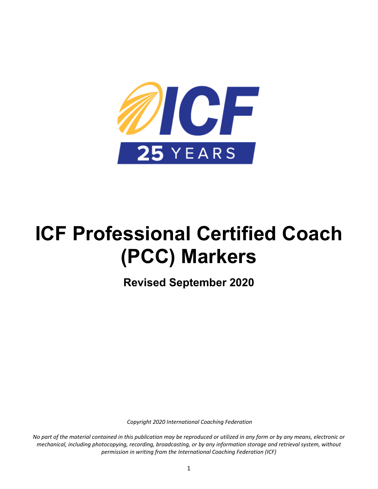

# **ICF Professional Certified Coach (PCC) Markers**

**Revised September 2020** 

*Copyright 2020 International Coaching Federation* 

*No part of the material contained in this publication may be reproduced or utilized in any form or by any means, electronic or mechanical, including photocopying, recording, broadcasting, or by any information storage and retrieval system, without permission in writing from the International Coaching Federation (ICF)*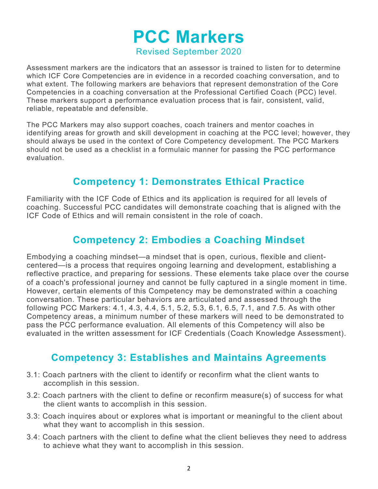# **PCC Markers**  Revised September 2020

Assessment markers are the indicators that an assessor is trained to listen for to determine which ICF Core Competencies are in evidence in a recorded coaching conversation, and to what extent. The following markers are behaviors that represent demonstration of the Core Competencies in a coaching conversation at the Professional Certified Coach (PCC) level. These markers support a performance evaluation process that is fair, consistent, valid, reliable, repeatable and defensible.

The PCC Markers may also support coaches, coach trainers and mentor coaches in identifying areas for growth and skill development in coaching at the PCC level; however, they should always be used in the context of Core Competency development. The PCC Markers should not be used as a checklist in a formulaic manner for passing the PCC performance evaluation.

## **Competency 1: Demonstrates Ethical Practice**

Familiarity with the ICF Code of Ethics and its application is required for all levels of coaching. Successful PCC candidates will demonstrate coaching that is aligned with the ICF Code of Ethics and will remain consistent in the role of coach.

## **Competency 2: Embodies a Coaching Mindset**

Embodying a coaching mindset—a mindset that is open, curious, flexible and clientcentered—is a process that requires ongoing learning and development, establishing a reflective practice, and preparing for sessions. These elements take place over the course of a coach's professional journey and cannot be fully captured in a single moment in time. However, certain elements of this Competency may be demonstrated within a coaching conversation. These particular behaviors are articulated and assessed through the following PCC Markers: 4.1, 4.3, 4.4, 5.1, 5.2, 5.3, 6.1, 6.5, 7.1, and 7.5. As with other Competency areas, a minimum number of these markers will need to be demonstrated to pass the PCC performance evaluation. All elements of this Competency will also be evaluated in the written assessment for ICF Credentials (Coach Knowledge Assessment).

## **Competency 3: Establishes and Maintains Agreements**

- 3.1: Coach partners with the client to identify or reconfirm what the client wants to accomplish in this session.
- 3.2: Coach partners with the client to define or reconfirm measure(s) of success for what the client wants to accomplish in this session.
- 3.3: Coach inquires about or explores what is important or meaningful to the client about what they want to accomplish in this session.
- 3.4: Coach partners with the client to define what the client believes they need to address to achieve what they want to accomplish in this session.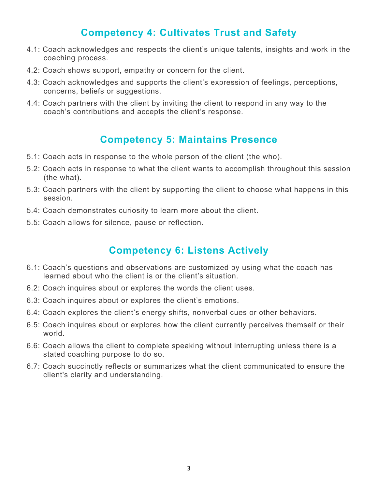## **Competency 4: Cultivates Trust and Safety**

- 4.1: Coach acknowledges and respects the client's unique talents, insights and work in the coaching process.
- 4.2: Coach shows support, empathy or concern for the client.
- 4.3: Coach acknowledges and supports the client's expression of feelings, perceptions, concerns, beliefs or suggestions.
- 4.4: Coach partners with the client by inviting the client to respond in any way to the coach's contributions and accepts the client's response.

#### **Competency 5: Maintains Presence**

- 5.1: Coach acts in response to the whole person of the client (the who).
- 5.2: Coach acts in response to what the client wants to accomplish throughout this session (the what).
- 5.3: Coach partners with the client by supporting the client to choose what happens in this session.
- 5.4: Coach demonstrates curiosity to learn more about the client.
- 5.5: Coach allows for silence, pause or reflection.

## **Competency 6: Listens Actively**

- 6.1: Coach's questions and observations are customized by using what the coach has learned about who the client is or the client's situation.
- 6.2: Coach inquires about or explores the words the client uses.
- 6.3: Coach inquires about or explores the client's emotions.
- 6.4: Coach explores the client's energy shifts, nonverbal cues or other behaviors.
- 6.5: Coach inquires about or explores how the client currently perceives themself or their world.
- 6.6: Coach allows the client to complete speaking without interrupting unless there is a stated coaching purpose to do so.
- 6.7: Coach succinctly reflects or summarizes what the client communicated to ensure the client's clarity and understanding.